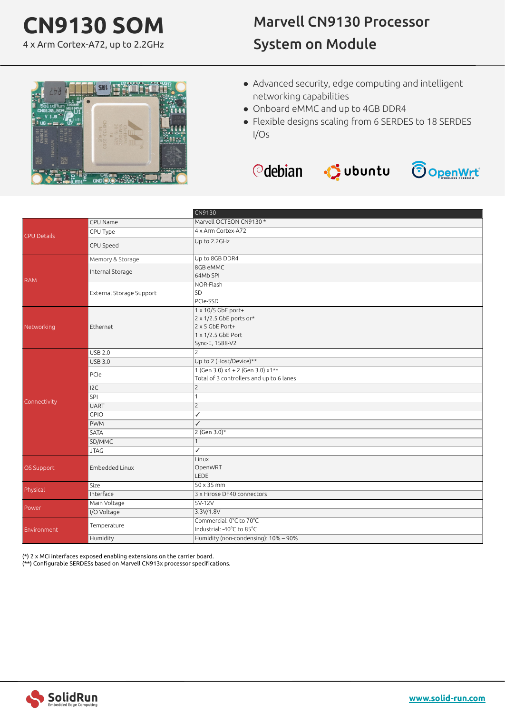## **CN9130 SOM**

4 x Arm Cortex-A72, up to 2.2GHz

## Marvell CN9130 Processor System on Module



- Advanced security, edge computing and intelligent networking capabilities
- Onboard eMMC and up to 4GB DDR4
- Flexible designs scaling from 6 SERDES to 18 SERDES I/Os





| CPU Name<br>4 x Arm Cortex-A72<br>CPU Type<br>Up to 2.2GHz<br>CPU Speed<br>Up to 8GB DDR4<br>Memory & Storage<br>8GB eMMC<br>Internal Storage<br>64Mb SPI<br><b>RAM</b><br>NOR-Flash<br>SD<br>External Storage Support<br>PCIe-SSD<br>1 x 10/5 GbE port+<br>2 x 1/2.5 GbE ports or*<br>$2 \times 5$ GbE Port+<br>Networking<br>Ethernet<br>$1 \times 1/2.5$ GbE Port<br>Sync-E, 1588-V2<br><b>USB 2.0</b><br>$\overline{2}$<br>Up to 2 (Host/Device)**<br><b>USB 3.0</b><br>$1$ (Gen 3.0) $x4 + 2$ (Gen 3.0) $x1**$<br>PCIe<br>Total of 3 controllers and up to 6 lanes<br>$\overline{2}$<br>12C<br><b>SPI</b><br>$\overline{1}$<br>Connectivity<br>$\overline{2}$<br><b>UART</b><br>✓<br>GPIO<br>$\sqrt{}$<br><b>PWM</b><br>2 (Gen 3.0)*<br>SATA<br>$\overline{1}$<br>SD/MMC<br>✓<br><b>JTAG</b><br>Linux<br>OS Support<br>Embedded Linux<br>OpenWRT<br>LEDE<br>$50 \times 35$ mm<br>Size<br>Physical<br>3 x Hirose DF40 connectors<br>Interface<br>5V-12V<br>Main Voltage<br>Power<br>3.3V/1.8V<br>I/O Voltage<br>Commercial: 0°C to 70°C<br>Temperature<br>Industrial: -40°C to 85°C<br>Environment<br>Humidity (non-condensing): 10% - 90%<br>Humidity |  | CN9130                  |
|------------------------------------------------------------------------------------------------------------------------------------------------------------------------------------------------------------------------------------------------------------------------------------------------------------------------------------------------------------------------------------------------------------------------------------------------------------------------------------------------------------------------------------------------------------------------------------------------------------------------------------------------------------------------------------------------------------------------------------------------------------------------------------------------------------------------------------------------------------------------------------------------------------------------------------------------------------------------------------------------------------------------------------------------------------------------------------------------------------------------------------------------------------|--|-------------------------|
| CPU Details                                                                                                                                                                                                                                                                                                                                                                                                                                                                                                                                                                                                                                                                                                                                                                                                                                                                                                                                                                                                                                                                                                                                                |  | Marvell OCTEON CN9130 * |
|                                                                                                                                                                                                                                                                                                                                                                                                                                                                                                                                                                                                                                                                                                                                                                                                                                                                                                                                                                                                                                                                                                                                                            |  |                         |
|                                                                                                                                                                                                                                                                                                                                                                                                                                                                                                                                                                                                                                                                                                                                                                                                                                                                                                                                                                                                                                                                                                                                                            |  |                         |
|                                                                                                                                                                                                                                                                                                                                                                                                                                                                                                                                                                                                                                                                                                                                                                                                                                                                                                                                                                                                                                                                                                                                                            |  |                         |
|                                                                                                                                                                                                                                                                                                                                                                                                                                                                                                                                                                                                                                                                                                                                                                                                                                                                                                                                                                                                                                                                                                                                                            |  |                         |
|                                                                                                                                                                                                                                                                                                                                                                                                                                                                                                                                                                                                                                                                                                                                                                                                                                                                                                                                                                                                                                                                                                                                                            |  |                         |
|                                                                                                                                                                                                                                                                                                                                                                                                                                                                                                                                                                                                                                                                                                                                                                                                                                                                                                                                                                                                                                                                                                                                                            |  |                         |
|                                                                                                                                                                                                                                                                                                                                                                                                                                                                                                                                                                                                                                                                                                                                                                                                                                                                                                                                                                                                                                                                                                                                                            |  |                         |
|                                                                                                                                                                                                                                                                                                                                                                                                                                                                                                                                                                                                                                                                                                                                                                                                                                                                                                                                                                                                                                                                                                                                                            |  |                         |
|                                                                                                                                                                                                                                                                                                                                                                                                                                                                                                                                                                                                                                                                                                                                                                                                                                                                                                                                                                                                                                                                                                                                                            |  |                         |
|                                                                                                                                                                                                                                                                                                                                                                                                                                                                                                                                                                                                                                                                                                                                                                                                                                                                                                                                                                                                                                                                                                                                                            |  |                         |
|                                                                                                                                                                                                                                                                                                                                                                                                                                                                                                                                                                                                                                                                                                                                                                                                                                                                                                                                                                                                                                                                                                                                                            |  |                         |
|                                                                                                                                                                                                                                                                                                                                                                                                                                                                                                                                                                                                                                                                                                                                                                                                                                                                                                                                                                                                                                                                                                                                                            |  |                         |
|                                                                                                                                                                                                                                                                                                                                                                                                                                                                                                                                                                                                                                                                                                                                                                                                                                                                                                                                                                                                                                                                                                                                                            |  |                         |
|                                                                                                                                                                                                                                                                                                                                                                                                                                                                                                                                                                                                                                                                                                                                                                                                                                                                                                                                                                                                                                                                                                                                                            |  |                         |
|                                                                                                                                                                                                                                                                                                                                                                                                                                                                                                                                                                                                                                                                                                                                                                                                                                                                                                                                                                                                                                                                                                                                                            |  |                         |
|                                                                                                                                                                                                                                                                                                                                                                                                                                                                                                                                                                                                                                                                                                                                                                                                                                                                                                                                                                                                                                                                                                                                                            |  |                         |
|                                                                                                                                                                                                                                                                                                                                                                                                                                                                                                                                                                                                                                                                                                                                                                                                                                                                                                                                                                                                                                                                                                                                                            |  |                         |
|                                                                                                                                                                                                                                                                                                                                                                                                                                                                                                                                                                                                                                                                                                                                                                                                                                                                                                                                                                                                                                                                                                                                                            |  |                         |
|                                                                                                                                                                                                                                                                                                                                                                                                                                                                                                                                                                                                                                                                                                                                                                                                                                                                                                                                                                                                                                                                                                                                                            |  |                         |
|                                                                                                                                                                                                                                                                                                                                                                                                                                                                                                                                                                                                                                                                                                                                                                                                                                                                                                                                                                                                                                                                                                                                                            |  |                         |
|                                                                                                                                                                                                                                                                                                                                                                                                                                                                                                                                                                                                                                                                                                                                                                                                                                                                                                                                                                                                                                                                                                                                                            |  |                         |
|                                                                                                                                                                                                                                                                                                                                                                                                                                                                                                                                                                                                                                                                                                                                                                                                                                                                                                                                                                                                                                                                                                                                                            |  |                         |
|                                                                                                                                                                                                                                                                                                                                                                                                                                                                                                                                                                                                                                                                                                                                                                                                                                                                                                                                                                                                                                                                                                                                                            |  |                         |
|                                                                                                                                                                                                                                                                                                                                                                                                                                                                                                                                                                                                                                                                                                                                                                                                                                                                                                                                                                                                                                                                                                                                                            |  |                         |

(\*) 2 x MCi interfaces exposed enabling extensions on the carrier board.

(\*\*) Configurable SERDESs based on Marvell CN913x processor specifications.